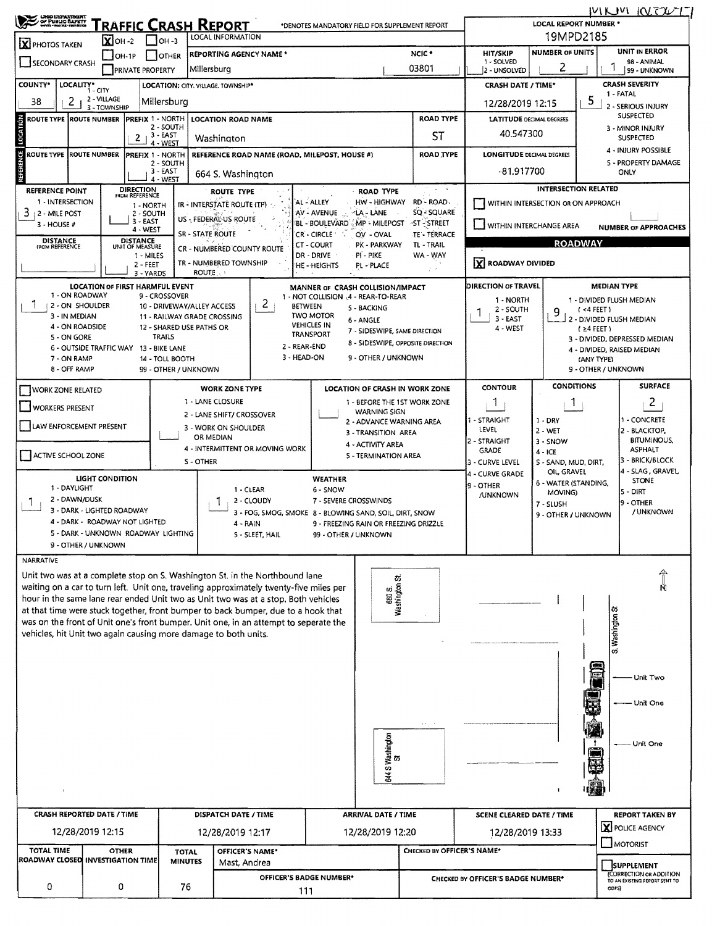|                                                                                                                    | <b>CROD LIEPANTBENT</b><br>OF PUBLIC SAPETY<br>Hom - More - Renance<br>RAFFIC CRASH REPORT<br>*DENOTES MANDATORY FIELD FOR SUPPLEMENT REPORT |                 |                                        |                            |                                                                 |                                                                                                                                                                              |                                        |                                                     |                                 | MUM KRZUTI<br><b>LOCAL REPORT NUMBER *</b>    |                                     |                                      |                                                                        |  |  |
|--------------------------------------------------------------------------------------------------------------------|----------------------------------------------------------------------------------------------------------------------------------------------|-----------------|----------------------------------------|----------------------------|-----------------------------------------------------------------|------------------------------------------------------------------------------------------------------------------------------------------------------------------------------|----------------------------------------|-----------------------------------------------------|---------------------------------|-----------------------------------------------|-------------------------------------|--------------------------------------|------------------------------------------------------------------------|--|--|
|                                                                                                                    | LOCAL INFORMATION<br>$\overline{\mathbf{X}}$ OH -2<br>$\Box$ OH -3<br>X PHOTOS TAKEN                                                         |                 |                                        |                            |                                                                 |                                                                                                                                                                              |                                        |                                                     |                                 | 19MPD2185                                     |                                     |                                      |                                                                        |  |  |
| <b>REPORTING AGENCY NAME *</b><br>$OH-1P$<br>I TOTHER<br>SECONDARY CRASH<br>Millersburg<br><b>PRIVATE PROPERTY</b> |                                                                                                                                              |                 |                                        |                            |                                                                 |                                                                                                                                                                              |                                        |                                                     | NCIC <sup>*</sup><br>03801      | <b>HIT/SKIP</b><br>1 - SOLVED<br>2 - UNSOLVED | <b>NUMBER OF UNITS</b><br>2         |                                      | UNIT IN ERROR<br>98 - ANIMAL<br>99 - UNKNOWN                           |  |  |
| <b>COUNTY*</b><br>LOCALITY*<br>LOCATION: CITY, VILLAGE, TOWNSHIP*<br>i - cıtv                                      |                                                                                                                                              |                 |                                        |                            |                                                                 |                                                                                                                                                                              |                                        |                                                     |                                 | <b>CRASH DATE / TIME*</b>                     |                                     |                                      | <b>CRASH SEVERITY</b>                                                  |  |  |
| 2 - VILLAGE<br>2<br>Millersburg<br>38<br>3 - TOWNSHIP                                                              |                                                                                                                                              |                 |                                        |                            |                                                                 |                                                                                                                                                                              |                                        |                                                     |                                 | 12/28/2019 12:15                              |                                     | 5                                    | 1 - FATAL<br>2 - SERIOUS INJURY                                        |  |  |
| <b>ROUTE TYPE ROUTE NUMBER</b>                                                                                     |                                                                                                                                              |                 | <b>PREFIX 1 - NORTH</b>                |                            | <b>LOCATION ROAD NAME</b>                                       |                                                                                                                                                                              |                                        |                                                     | <b>LATITUDE DECIMAL DEGREES</b> |                                               |                                     | SUSPECTED                            |                                                                        |  |  |
| LOCATION<br>2 - SOUTH<br>3 - EAST                                                                                  |                                                                                                                                              |                 |                                        |                            | Washington                                                      |                                                                                                                                                                              |                                        | ST                                                  | 40.547300                       |                                               |                                     | 3 - MINOR INJURY<br><b>SUSPECTED</b> |                                                                        |  |  |
|                                                                                                                    |                                                                                                                                              |                 | 21<br>$4 - WES$                        |                            |                                                                 |                                                                                                                                                                              |                                        | ROAD TYPE                                           |                                 |                                               |                                     | 4 - INJURY POSSIBLE                  |                                                                        |  |  |
| <b>REFERENCE</b><br>ROUTE TYPE ROUTE NUMBER                                                                        |                                                                                                                                              |                 | PREFIX 1 - NORTH<br>2 - SOUTH          |                            |                                                                 | REFERENCE ROAD NAME (ROAD, MILEPOST, HOUSE #)                                                                                                                                |                                        | <b>LONGITUDE DECIMAL DEGREES</b>                    |                                 |                                               | 5 - PROPERTY DAMAGE                 |                                      |                                                                        |  |  |
|                                                                                                                    |                                                                                                                                              |                 | 3-EAST<br>4 - WEST                     |                            | 664 S. Washington                                               |                                                                                                                                                                              |                                        |                                                     |                                 | -81.917700                                    |                                     |                                      | ONLY                                                                   |  |  |
| <b>REFERENCE POINT</b>                                                                                             |                                                                                                                                              |                 | DIRECTION<br>FROM REFERENCE            |                            | <b>ROUTE TYPE</b>                                               |                                                                                                                                                                              |                                        | <b>ROAD TYPE</b>                                    |                                 |                                               | <b>INTERSECTION RELATED</b>         |                                      |                                                                        |  |  |
| 1 - INTERSECTION<br>3<br>12 - MILE POST                                                                            |                                                                                                                                              |                 | 1 - NORTH<br>2 - SOUTH                 |                            | IR - INTERSTATE ROUTE (TP)                                      |                                                                                                                                                                              | AL - ALLEY<br>AV - AVENUE              | HW - HIGHWAY<br>∻LA - LANE                          | RD - ROAD<br>SQ - SQUARE        |                                               | WITHIN INTERSECTION OR ON APPROACH  |                                      |                                                                        |  |  |
| 3 - HOUSE #                                                                                                        |                                                                                                                                              |                 | 3 - EAST<br>4 - WEST                   |                            | US - FEDERAL US ROUTE                                           |                                                                                                                                                                              |                                        | BL - BOULEVARD MP - MILEPOST                        | ⊸ST - STREET                    | WITHIN INTERCHANGE AREA                       |                                     |                                      | <b>NUMBER OF APPROACHES</b>                                            |  |  |
| <b>DISTANCE</b>                                                                                                    |                                                                                                                                              |                 | <b>DISTANCE</b>                        |                            | <b>SR - STATE ROUTE</b>                                         |                                                                                                                                                                              | CR - CIRCLE '<br>CT - COURT            | OV - OVAL<br>PK - PARKWAY                           | TE - TERRACE<br>TL - TRAIL      |                                               |                                     | <b>ROADWAY</b>                       |                                                                        |  |  |
| FROM REFERENCE                                                                                                     |                                                                                                                                              |                 | UNIT OF MEASURE<br>1 - MILES           |                            | CR - NUMBERED COUNTY ROUTE                                      |                                                                                                                                                                              | DR - DRIVE                             | PI - PIKE                                           | WA - WAY                        |                                               |                                     |                                      |                                                                        |  |  |
|                                                                                                                    |                                                                                                                                              |                 | $2 - FEET$<br>3 - YARDS                |                            | TR - NUMBERED TOWNSHIP<br>ROUTE                                 |                                                                                                                                                                              | HE - HEIGHTS                           | PL - PLACE                                          | $f \rightarrow 0$               | X ROADWAY DIVIDED                             |                                     |                                      |                                                                        |  |  |
|                                                                                                                    |                                                                                                                                              |                 | <b>LOCATION OF FIRST HARMFUL EVENT</b> |                            |                                                                 |                                                                                                                                                                              |                                        | MANNER OF CRASH COLLISION/IMPACT                    |                                 | <b>DIRECTION OF TRAVEL</b>                    |                                     |                                      | <b>MEDIAN TYPE</b>                                                     |  |  |
|                                                                                                                    | 1 - ON ROADWAY<br>2 - ON SHOULDER                                                                                                            |                 | 9 - CROSSOVER                          | 10 - DRIVEWAY/ALLEY ACCESS |                                                                 | 2                                                                                                                                                                            |                                        | 1 - NOT COLLISION 4 - REAR-TO-REAR                  |                                 | 1 - NORTH                                     |                                     |                                      | 1 - DIVIDED FLUSH MEDIAN                                               |  |  |
|                                                                                                                    | 3 - IN MEDIAN                                                                                                                                |                 |                                        |                            | 11 - RAILWAY GRADE CROSSING                                     |                                                                                                                                                                              | <b>BETWEEN</b><br>TWO MOTOR            | 5 - BACKING<br>6 - ANGLE                            |                                 | 2 - SOUTH<br>$3 - EAST$                       |                                     | $($ <4 FEET)                         | 2 - DIVIDED FLUSH MEDIAN                                               |  |  |
|                                                                                                                    | 4 - ON ROADSIDE                                                                                                                              |                 | TRAILS                                 | 12 - SHARED USE PATHS OR   |                                                                 |                                                                                                                                                                              | <b>VEHICLES IN</b><br><b>TRANSPORT</b> | 7 - SIDESWIPE, SAME DIRECTION                       |                                 | 4 - WEST                                      | $(24$ FEET)                         |                                      |                                                                        |  |  |
|                                                                                                                    | 5 - ON GORE<br><b>6 - OUTSIDE TRAFFIC WAY</b>                                                                                                |                 | 13 - BIKE LANE                         |                            |                                                                 | 2 - REAR-END                                                                                                                                                                 |                                        | 8 - SIDESWIPE, OPPOSITE DIRECTION                   |                                 |                                               |                                     |                                      | 3 - DIVIDED, DEPRESSED MEDIAN<br>4 - DIVIDED, RAISED MEDIAN            |  |  |
|                                                                                                                    | 7 - ON RAMP                                                                                                                                  |                 | 14 - TOLL BOOTH                        |                            |                                                                 | 3 - HEAD-ON                                                                                                                                                                  |                                        | 9 - OTHER / UNKNOWN                                 |                                 |                                               |                                     | (ANY TYPE)                           |                                                                        |  |  |
|                                                                                                                    | 8 - OFF RAMP                                                                                                                                 |                 |                                        | 99 - OTHER / UNKNOWN       |                                                                 |                                                                                                                                                                              |                                        |                                                     |                                 |                                               |                                     |                                      | 9 - OTHER / UNKNOWN                                                    |  |  |
| <b>WORK ZONE RELATED</b>                                                                                           |                                                                                                                                              |                 |                                        |                            | <b>WORK ZONE TYPE</b>                                           |                                                                                                                                                                              |                                        | LOCATION OF CRASH IN WORK ZONE                      |                                 | <b>CONTOUR</b>                                | <b>CONDITIONS</b>                   |                                      | <b>SURFACE</b>                                                         |  |  |
| WORKERS PRESENT                                                                                                    |                                                                                                                                              |                 |                                        |                            | 1 - LANE CLOSURE<br>2 - LANE SHIFT/ CROSSOVER                   |                                                                                                                                                                              |                                        | 1 - BEFORE THE 1ST WORK ZONE<br><b>WARNING SIGN</b> |                                 | Т.                                            | Т.                                  |                                      | $\overline{c}$                                                         |  |  |
| LAW ENFORCEMENT PRESENT                                                                                            |                                                                                                                                              |                 |                                        |                            | 3 - WORK ON SHOULDER                                            |                                                                                                                                                                              |                                        | 2 - ADVANCE WARNING AREA                            |                                 | - STRAIGHT<br>LEVEL                           | 1 - DRY                             |                                      | 1 - CONCRETE                                                           |  |  |
|                                                                                                                    |                                                                                                                                              |                 |                                        |                            | OR MEDIAN                                                       |                                                                                                                                                                              |                                        | 3 - TRANSITION AREA<br>4 - ACTIVITY AREA            |                                 | 2 - STRAIGHT                                  | 2 - WET<br>3 - SNOW                 |                                      | [2 - BLACKTOP,<br><b>BITUMINOUS,</b>                                   |  |  |
| ACTIVE SCHOOL ZONE                                                                                                 |                                                                                                                                              |                 |                                        |                            |                                                                 | 4 - INTERMITTENT OR MOVING WORK                                                                                                                                              |                                        | 5 - TERMINATION AREA                                |                                 | <b>GRADE</b>                                  | $4 - ICE$                           |                                      | <b>ASPHALT</b><br>3 - BRICK/BLOCK                                      |  |  |
|                                                                                                                    |                                                                                                                                              |                 |                                        | <b>5 - OTHER</b>           |                                                                 |                                                                                                                                                                              |                                        |                                                     |                                 | 3 - CURVE LEVEL<br>4 - CURVE GRADE            | S - SAND, MUD, DIRT,<br>OIL, GRAVEL |                                      | 4 - SLAG, GRAVEL                                                       |  |  |
|                                                                                                                    | 1 - DAYLIGHT                                                                                                                                 | LIGHT CONDITION |                                        |                            |                                                                 | 1 - CLEAR                                                                                                                                                                    | WEATHER<br>6 - SNOW                    |                                                     |                                 | 9 - OTHER                                     | 6 - WATER (STANDING,                |                                      | <b>STONE</b><br>5 - DIRT                                               |  |  |
| $\mathbf{I}$                                                                                                       | 2 - DAWN/DUSK                                                                                                                                |                 |                                        |                            |                                                                 | 2 - CLOUDY                                                                                                                                                                   | 7 - SEVERE CROSSWINDS                  |                                                     |                                 | <b>/UNKNOWN</b>                               | MOVING)<br>7 - SLUSH                |                                      | <b>I</b> 9 - OTHER                                                     |  |  |
|                                                                                                                    | 3 - DARK - LIGHTED ROADWAY                                                                                                                   |                 | 4 - DARK - ROADWAY NOT LIGHTED         |                            |                                                                 | 3 - FOG, SMOG, SMOKE 8 - BLOWING SAND, SOIL DIRT, SNOW                                                                                                                       |                                        |                                                     |                                 |                                               | 9 - OTHER / UNKNOWN                 |                                      | / UNKNOWN                                                              |  |  |
|                                                                                                                    |                                                                                                                                              |                 | 5 - DARK - UNKNOWN ROADWAY LIGHTING    |                            | 4 - RAIN                                                        | 5 - SLEET, HAIL                                                                                                                                                              | 99 - OTHER / UNKNOWN                   | 9 - FREEZING RAIN OR FREEZING DRIZZLE               |                                 |                                               |                                     |                                      |                                                                        |  |  |
|                                                                                                                    | 9 - OTHER / UNKNOWN                                                                                                                          |                 |                                        |                            |                                                                 |                                                                                                                                                                              |                                        |                                                     |                                 |                                               |                                     |                                      |                                                                        |  |  |
| <b>NARRATIVE</b>                                                                                                   |                                                                                                                                              |                 |                                        |                            |                                                                 |                                                                                                                                                                              |                                        |                                                     |                                 |                                               |                                     |                                      |                                                                        |  |  |
|                                                                                                                    |                                                                                                                                              |                 |                                        |                            |                                                                 | Unit two was at a complete stop on S. Washington St. in the Northbound lane                                                                                                  |                                        |                                                     |                                 |                                               |                                     |                                      |                                                                        |  |  |
|                                                                                                                    |                                                                                                                                              |                 |                                        |                            |                                                                 | waiting on a car to turn left. Unit one, traveling approximately twenty-five miles per<br>hour in the same lane rear ended Unit two as Unit two was at a stop. Both vehicles |                                        | 660 S.<br>Washington St.                            |                                 |                                               |                                     |                                      | Ň                                                                      |  |  |
|                                                                                                                    |                                                                                                                                              |                 |                                        |                            |                                                                 | at that time were stuck together, front bumper to back bumper, due to a hook that                                                                                            |                                        |                                                     |                                 |                                               |                                     |                                      |                                                                        |  |  |
|                                                                                                                    |                                                                                                                                              |                 |                                        |                            |                                                                 | was on the front of Unit one's front bumper. Unit one, in an attempt to seperate the                                                                                         |                                        |                                                     |                                 |                                               |                                     |                                      |                                                                        |  |  |
|                                                                                                                    |                                                                                                                                              |                 |                                        |                            | vehicles, hit Unit two again causing more damage to both units. |                                                                                                                                                                              |                                        |                                                     |                                 |                                               |                                     |                                      | S. Washington St                                                       |  |  |
|                                                                                                                    |                                                                                                                                              |                 |                                        |                            |                                                                 |                                                                                                                                                                              |                                        |                                                     |                                 |                                               |                                     |                                      |                                                                        |  |  |
|                                                                                                                    |                                                                                                                                              |                 |                                        |                            |                                                                 |                                                                                                                                                                              |                                        |                                                     |                                 |                                               |                                     | $\overline{1}$                       | Unit Two                                                               |  |  |
|                                                                                                                    |                                                                                                                                              |                 |                                        |                            |                                                                 |                                                                                                                                                                              |                                        |                                                     |                                 |                                               |                                     |                                      |                                                                        |  |  |
|                                                                                                                    |                                                                                                                                              |                 |                                        |                            |                                                                 |                                                                                                                                                                              |                                        |                                                     |                                 |                                               |                                     |                                      | - Unit One                                                             |  |  |
|                                                                                                                    |                                                                                                                                              |                 |                                        |                            |                                                                 |                                                                                                                                                                              |                                        |                                                     | $\cdots$                        |                                               |                                     |                                      |                                                                        |  |  |
|                                                                                                                    |                                                                                                                                              |                 |                                        |                            |                                                                 |                                                                                                                                                                              |                                        |                                                     |                                 |                                               |                                     |                                      |                                                                        |  |  |
|                                                                                                                    |                                                                                                                                              |                 |                                        |                            |                                                                 |                                                                                                                                                                              |                                        | 644 S Washington<br>St                              |                                 |                                               |                                     |                                      | Unit One                                                               |  |  |
|                                                                                                                    |                                                                                                                                              |                 |                                        |                            |                                                                 |                                                                                                                                                                              |                                        |                                                     |                                 |                                               |                                     |                                      |                                                                        |  |  |
|                                                                                                                    |                                                                                                                                              |                 |                                        |                            |                                                                 |                                                                                                                                                                              |                                        |                                                     |                                 |                                               |                                     |                                      |                                                                        |  |  |
|                                                                                                                    |                                                                                                                                              |                 |                                        |                            |                                                                 |                                                                                                                                                                              |                                        |                                                     |                                 |                                               |                                     |                                      |                                                                        |  |  |
| <b>CRASH REPORTED DATE / TIME</b>                                                                                  |                                                                                                                                              |                 |                                        |                            | DISPATCH DATE / TIME                                            |                                                                                                                                                                              |                                        | <b>ARRIVAL DATE / TIME</b>                          |                                 | SCENE CLEARED DATE / TIME                     |                                     |                                      | <b>REPORT TAKEN BY</b>                                                 |  |  |
| 12/28/2019 12:15<br>12/28/2019 12:17                                                                               |                                                                                                                                              |                 |                                        |                            |                                                                 |                                                                                                                                                                              |                                        | 12/28/2019 12:20                                    |                                 | 12/28/2019 13:33                              |                                     |                                      | <b>X</b> POLICE AGENCY                                                 |  |  |
|                                                                                                                    |                                                                                                                                              |                 |                                        |                            |                                                                 |                                                                                                                                                                              |                                        |                                                     | CHECKED BY OFFICER'S NAME*      |                                               |                                     |                                      | MOTORIST                                                               |  |  |
|                                                                                                                    | <b>TOTAL TIME</b><br><b>OTHER</b><br><b>TOTAL</b><br>ROADWAY CLOSED INVESTIGATION TIME                                                       |                 |                                        |                            | OFFICER'S NAME*                                                 |                                                                                                                                                                              |                                        |                                                     |                                 |                                               |                                     |                                      |                                                                        |  |  |
|                                                                                                                    |                                                                                                                                              |                 |                                        | <b>MINUTES</b>             | Mast, Andrea                                                    |                                                                                                                                                                              |                                        |                                                     |                                 |                                               |                                     |                                      |                                                                        |  |  |
|                                                                                                                    |                                                                                                                                              |                 |                                        |                            |                                                                 |                                                                                                                                                                              | <b>OFFICER'S BADGE NUMBER*</b>         |                                                     |                                 | CHECKED BY OFFICER'S BADGE NUMBER*            |                                     |                                      | SUPPLEMENT<br>(CORRECTION OR ADDITION<br>TO AN EXISTING REPORT SENT TO |  |  |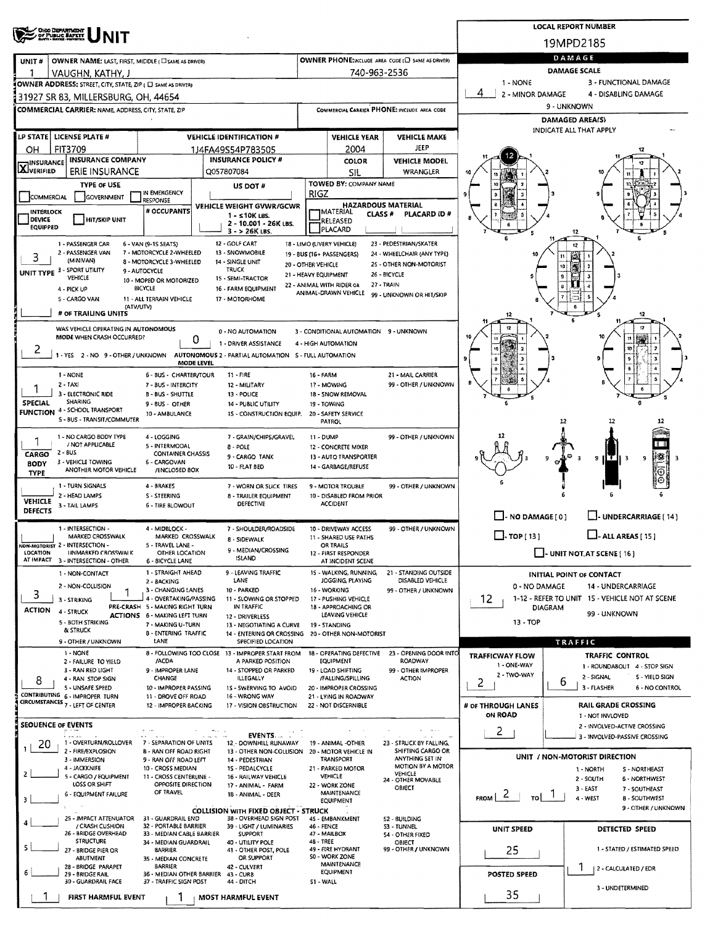|                                                                                                                                        | <b>LOCAL REPORT NUMBER</b>                                              |                                                                                  |                                                            |                                                      |                                                                    |  |  |  |  |  |
|----------------------------------------------------------------------------------------------------------------------------------------|-------------------------------------------------------------------------|----------------------------------------------------------------------------------|------------------------------------------------------------|------------------------------------------------------|--------------------------------------------------------------------|--|--|--|--|--|
| <b>OHIO DEPARTMENT</b><br>OF PUBLIC BAPETY                                                                                             |                                                                         |                                                                                  |                                                            |                                                      | 19MPD2185                                                          |  |  |  |  |  |
| OWNER NAME: LAST, FIRST, MIDDLE (C) SAME AS DRIVERY<br>UNIT#                                                                           |                                                                         |                                                                                  | OWNER PHONE:INCLUDE AREA CODE (E) SAME AS DRIVER)          |                                                      | DAMAGE                                                             |  |  |  |  |  |
| VAUGHN, KATHY, J                                                                                                                       |                                                                         | 740-963-2536                                                                     |                                                            | <b>DAMAGE SCALE</b>                                  |                                                                    |  |  |  |  |  |
| OWNER ADDRESS: STREET, CITY, STATE, ZIP ( O SAME AS DRIVER)                                                                            |                                                                         |                                                                                  |                                                            | 1 - NONE                                             | 3 - FUNCTIONAL DAMAGE                                              |  |  |  |  |  |
| 31927 SR 83, MILLERSBURG, OH, 44654                                                                                                    |                                                                         |                                                                                  |                                                            | 4<br>2 - MINOR DAMAGE                                | 4 - DISABLING DAMAGE                                               |  |  |  |  |  |
| <b>COMMERCIAL CARRIER: NAME, ADDRESS, CITY, STATE, ZIP</b>                                                                             |                                                                         |                                                                                  | COMMERCIAL CARRIER PHONE: INCLUDE AREA CODE                | 9 - UNKNOWN                                          |                                                                    |  |  |  |  |  |
|                                                                                                                                        |                                                                         |                                                                                  |                                                            | <b>DAMAGED AREA(S)</b><br>INDICATE ALL THAT APPLY    |                                                                    |  |  |  |  |  |
| LP STATE   LICENSE PLATE #<br><b>VEHICLE IDENTIFICATION #</b>                                                                          |                                                                         | <b>VEHICLE YEAR</b>                                                              | <b>VEHICLE MAKE</b>                                        |                                                      |                                                                    |  |  |  |  |  |
| <b>FIT3709</b><br>ОН<br>1J4FA49S54P783505<br><b>INSURANCE COMPANY</b><br><b>INSURANCE POLICY #</b>                                     |                                                                         | 2004<br>COLOR                                                                    | JEEP<br><b>VEHICLE MODEL</b>                               |                                                      |                                                                    |  |  |  |  |  |
| <b>HINSURANCE</b><br><b>XIVERIFIED</b><br><b>ERIE INSURANCE</b><br>Q057807084                                                          |                                                                         | SIL                                                                              | WRANGLER                                                   |                                                      |                                                                    |  |  |  |  |  |
| <b>TYPE OF USE</b><br>US DOT #                                                                                                         |                                                                         | TOWED BY: COMPANY NAME                                                           |                                                            |                                                      |                                                                    |  |  |  |  |  |
| IN EMERGENCY<br>COMMERCIAL<br>GOVERNMENT<br><b>RESPONSE</b>                                                                            | RIGZ                                                                    |                                                                                  |                                                            | -3                                                   |                                                                    |  |  |  |  |  |
| VEHICLE WEIGHT GVWR/GCWR<br># OCCUPANTS<br>INTERLOCK<br>1 - s10K LBS.                                                                  |                                                                         | <b>HAZARDOUS MATERIAL</b><br><b>IMATERIAL</b><br>CLASS #                         | PLACARD ID#                                                |                                                      |                                                                    |  |  |  |  |  |
| DEVICE<br>HIT/SKIP UNIT<br>EQUIPPED<br>$3 - 26K$ LBS.                                                                                  | 2 - 10.001 - 26K LBS.                                                   | RELEASED<br>PLACARD                                                              |                                                            |                                                      |                                                                    |  |  |  |  |  |
| 12 - GOLF CART<br>1 - PASSENGER CAR<br>6 - VAN (9-1S SEATS)                                                                            | 18 - LIMO (LIVERY VEHICLE)                                              |                                                                                  | 23 - PEDESTRIAN/SKATER                                     |                                                      |                                                                    |  |  |  |  |  |
| 2 - PASSENGER VAN<br>7 - MOTORCYCLE 2-WHEELED<br>13 - SNOWMOBILE<br>3<br>(MINIVAN)<br>8 - MOTORCYCLE 3-WHEELED<br>14 - SINGLE UNIT     | 19 - BUS (16+ PASSENGERS)                                               |                                                                                  | 24 - WHEELCHAIR (ANY TYPE)                                 |                                                      |                                                                    |  |  |  |  |  |
| TRUCK<br>UNIT TYPE 3 - SPORT UTILITY<br>9 - AUTOCYCLE                                                                                  | 20 - OTHER VEHICLE<br>21 - HEAVY EQUIPMENT                              |                                                                                  | 25 - OTHER NON-MOTORIST<br>26 - BICYCLE                    |                                                      | 10<br>ø                                                            |  |  |  |  |  |
| VEHICLE<br>15 - SEMI-TRACTOR<br>10 - MOPED OR MOTORIZED<br>BICYCLE<br>16 - FARM EQUIPMENT<br>4 - PICK UP                               | 22 - ANIMAL WITH RIDER OR                                               | 27 - TRAIN                                                                       |                                                            |                                                      |                                                                    |  |  |  |  |  |
| 5 - CARGO VAN<br>11 - ALL TERRAIN VEHICLE<br>17 - MOTORHOME                                                                            |                                                                         | ANIMAL-DRAWN VEHICLE                                                             | 99 - UNKNOWN OR HIT/SKIP                                   |                                                      |                                                                    |  |  |  |  |  |
| (ATV/UTV)<br># OF TRAILING UNITS                                                                                                       |                                                                         |                                                                                  |                                                            |                                                      | 12                                                                 |  |  |  |  |  |
| WAS VEHICLE OPERATING IN AUTONOMOUS<br>0 - NO AUTOMATION                                                                               |                                                                         | 3 - CONDITIONAL AUTOMATION 9 - UNKNOWN                                           |                                                            |                                                      | 12                                                                 |  |  |  |  |  |
| MODE WHEN CRASH OCCURRED?<br>0<br>1 - DRIVER ASSISTANCE                                                                                |                                                                         | 4 - HIGH AUTOMATION                                                              |                                                            |                                                      |                                                                    |  |  |  |  |  |
| 1 - YES 2 - NO 9 - OTHER / UNKNOWN AUTONOMOUS 2 - PARTIAL AUTOMATION S - FULL AUTOMATION                                               |                                                                         |                                                                                  |                                                            |                                                      |                                                                    |  |  |  |  |  |
| MODE LEVEL<br>1 - NONE<br>$11 - FIRE$<br>6 - BUS - CHARTER/TOUR                                                                        | 16 - FARM                                                               |                                                                                  | 21 - MAIL CARRIER                                          |                                                      |                                                                    |  |  |  |  |  |
| $2 - TAXI$<br>7 - BUS - INTERCITY<br>12 - MILITARY                                                                                     |                                                                         | 17 - MOWING                                                                      | 99 - OTHER / UNKNOWN                                       |                                                      |                                                                    |  |  |  |  |  |
| 3 - ELECTRONIC RIDE<br><b>B - BUS - SHUTTLE</b><br>13 - POLICE<br>SHARING<br><b>SPECIAL</b>                                            |                                                                         | 18 - SNOW REMOVAL                                                                |                                                            |                                                      |                                                                    |  |  |  |  |  |
| 9 - BUS - OTHER<br>14 - PUBLIC UTILITY<br>FUNCTION 4 - SCHOOL TRANSPORT<br>10 - AMBULANCE                                              | 1S - CONSTRUCTION EQUIP.                                                | 19 - TOWING<br>20 - SAFETY SERVICE                                               |                                                            |                                                      |                                                                    |  |  |  |  |  |
| S - BUS - TRANSIT/COMMUTER                                                                                                             |                                                                         | PATROL                                                                           |                                                            |                                                      | 12<br>12                                                           |  |  |  |  |  |
| 1 - NO CARGO BODY TYPE<br>4 - LOGGING<br>/ NOT APPLICABLE<br>5 - INTERMODAL                                                            | 7 - GRAIN/CHIPS/GRAVEL<br>11 - DUMP                                     |                                                                                  | 99 - OTHER / UNKNOWN                                       |                                                      |                                                                    |  |  |  |  |  |
| 8 - POLE<br>$2 - BUS$<br>CARGO<br><b>CONTAINER CHASSIS</b><br>9 - CARGO TANK                                                           |                                                                         | 12 - CONCRETE MIXER<br>13 - AUTO TRANSPORTER                                     |                                                            |                                                      | 9 H<br>тн<br>9<br>- 3<br>-3                                        |  |  |  |  |  |
| 3 - VEHICLE TOWING<br>6 - CARGOVAN<br><b>BODY</b><br>10 - FLAT BED<br>ANOTHER MOTOR VEHICLE<br>/ENCLOSED BOX<br><b>TYPE</b>            |                                                                         | 14 - GARBAGE/REFUSE                                                              |                                                            |                                                      |                                                                    |  |  |  |  |  |
| 1 - TURN SIGNALS<br>4 - BRAKES                                                                                                         | 7 - WORN OR SLICK TIRES                                                 | 9 - MOTOR TROUBLE                                                                | 99 - OTHER / UNKNOWN                                       |                                                      |                                                                    |  |  |  |  |  |
| 2 - HEAD LAMPS<br><b>S-STEERING</b><br><b>VEHICLE</b><br>DEFECTIVE                                                                     | 8 - TRAILER EQUIPMENT                                                   | 10 - DISABLED FROM PRIOR<br><b>ACCIDENT</b>                                      |                                                            |                                                      |                                                                    |  |  |  |  |  |
| 3 - TAIL LAMPS<br><b>6 - TIRE BLOWOUT</b><br><b>DEFECTS</b>                                                                            |                                                                         |                                                                                  |                                                            | $\Box$ - NO DAMAGE [ 0 ]                             | L. UNDERCARRIAGE [ 14 ]                                            |  |  |  |  |  |
| 1 - INTERSECTION -<br>4 - MIDBLOCK -                                                                                                   | 7 - SHOULDER/ROADSIDE                                                   | 10 - DRIVEWAY ACCESS                                                             | 99 - OTHER / UNKNOWN                                       |                                                      |                                                                    |  |  |  |  |  |
| MARKED CROSSWALK<br>MARKED CROSSWALK<br>8 - SIDEWALK<br>VON-MOTORIST 2 - INTERSECTION -<br>5 - TRAVEL LANE -                           |                                                                         | 11 - SHARED USE PATHS<br>OR TRAILS                                               |                                                            | $\Box$ . TOP [ 13 ]                                  | $\Box$ - ALL AREAS [ 15 ]                                          |  |  |  |  |  |
| LOCATION<br><b>UNMARKED CROSSWALK</b><br>OTHER LOCATION<br><b>ISLAND</b><br>AT IMPACT<br>3 - INTERSECTION - OTHER<br>6 - BICYCLE LANE  | 9 - MEDIAN/CROSSING                                                     | 12 - FIRST RESPONDER<br>AT INCIDENT SCENE                                        |                                                            |                                                      | $\Box$ - UNIT NOT AT SCENE [ 16 ]                                  |  |  |  |  |  |
| 1 - STRAIGHT AHEAD<br>9 - LEAVING TRAFFIC<br>1 - NON-CONTACT                                                                           |                                                                         | 15 - WALKING, RUNNING,                                                           | 21 - STANDING OUTSIDE                                      |                                                      | <b>INITIAL POINT OF CONTACT</b>                                    |  |  |  |  |  |
| LANE<br>2 - BACKING<br>2 - NON-COLLISION                                                                                               |                                                                         | JOGGING, PLAYING                                                                 | DISABLED VEHICLE                                           | 0 - NO DAMAGE                                        | 14 - UNDERCARRIAGE                                                 |  |  |  |  |  |
| 3 - CHANGING LANES<br>10 - PARKED<br>3<br>4 - OVERTAKING/PASSING<br>3 - STRIKING                                                       | 11 - SLOWING OR STOPPED                                                 | 16 - WORKING<br>17 - PUSHING VEHICLE                                             | 99 - OTHER / UNKNOWN                                       | 1-12 - REFER TO UNIT 15 - VEHICLE NOT AT SCENE<br>12 |                                                                    |  |  |  |  |  |
| PRE-CRASH 5 - MAKING RIGHT TURN<br>IN TRAFFIC<br><b>ACTION</b><br>4 - STRUCK<br><b>ACTIONS 6 - MAKING LEFT TURN</b><br>12 - DRIVERLESS |                                                                         | 18 - APPROACHING OR<br>LEAVING VEHICLE                                           |                                                            | DIAGRAM<br>99 - UNKNOWN                              |                                                                    |  |  |  |  |  |
| <b>5 - BOTH STRIKING</b><br>7 - MAKING U-TURN<br>& STRUCK                                                                              | 13 - NEGOTIATING A CURVE                                                | 19 - STANDING                                                                    |                                                            | 13 - TOP                                             |                                                                    |  |  |  |  |  |
| <b>B - ENTERING TRAFFIC</b><br>LANE<br>9 - OTHER / UNKNOWN                                                                             | 14 - ENTERING OR CROSSING 20 - OTHER NON-MOTORIST<br>SPECIFIED LOCATION |                                                                                  |                                                            |                                                      | TRAFFIC                                                            |  |  |  |  |  |
| 1 - NONE<br>8 - FOLLOWING TOO CLOSE 13 - IMPROPER START FROM<br>/ACDA                                                                  |                                                                         | <b>EQUIPMENT</b>                                                                 | 18 - OPERATING DEFECTIVE 23 - OPENING DOOR INTO<br>ROADWAY | <b>TRAFFICWAY FLOW</b>                               | <b>TRAFFIC CONTROL</b>                                             |  |  |  |  |  |
| 2 - FAILURE TO YIELD<br>3 - RAN RED LIGHT<br>9 - IMPROPER LANE                                                                         | A PARKED POSITION<br>14 - STOPPED OR PARKED                             | 19 - LOAD SHIFTING                                                               | 99 - OTHER IMPROPER                                        | 1 - ONE-WAY<br>2 - TWO-WAY                           | 1 - ROUNDABOUT 4 - STOP SIGN                                       |  |  |  |  |  |
| CHANGE<br>ILLEGALLY<br>4 - RAN STOP SIGN<br>8<br><b>S - UNSAFE SPEED</b><br>10 - IMPROPER PASSING                                      | 15 - SWERVING TO AVOID                                                  | /FALLING/SPILLING<br>20 - IMPROPER CROSSING                                      | ACTION                                                     | 2                                                    | 2 - SIGNAL<br>S - YIELD SIGN<br>6<br>3 - FLASHER<br>6 - NO CONTROL |  |  |  |  |  |
| CONTRIBUTING 6 - IMPROPER TURN<br>11 - DROVE OFF ROAD<br>16 - WRONG WAY                                                                |                                                                         | 21 - LYING IN ROADWAY                                                            |                                                            |                                                      |                                                                    |  |  |  |  |  |
| CIRCUMSTANCES 7 - LEFT OF CENTER<br>12 - IMPROPER BACKING                                                                              | 17 - VISION OBSTRUCTION                                                 | 22 - NOT DISCERNIBLE                                                             |                                                            | # OF THROUGH LANES<br>ON ROAD                        | <b>RAIL GRADE CROSSING</b><br>1 - NOT INVLOVED                     |  |  |  |  |  |
| <b>SEOUENCE OF EVENTS</b><br>$\theta = 1.4$                                                                                            |                                                                         |                                                                                  | $\Delta\omega$ , $\omega$ , $\omega$                       | 2                                                    | 2 - INVOLVED-ACTIVE CROSSING                                       |  |  |  |  |  |
| 1 - OVERTURN/ROLLOVER<br>7 - SEPARATION OF UNITS<br>20                                                                                 | EVENTS<br>12 - DOWNHILL RUNAWAY                                         | 19 - ANIMAL -OTHER                                                               | 23 - STRUCK BY FALLING.                                    |                                                      | 3 - INVOLVED-PASSIVE CROSSING                                      |  |  |  |  |  |
| 2 - FIRE/EXPLOSION<br><b>8 - RAN OFF ROAD RIGHT</b>                                                                                    | 13 - OTHER NON-COLLISION 20 - MOTOR VEHICLE IN                          | <b>TRANSPORT</b>                                                                 | SHIFTING CARGO OR<br>ANYTHING SET IN                       |                                                      | UNIT / NON-MOTORIST DIRECTION                                      |  |  |  |  |  |
| 3 - IMMERSION<br>9 - RAN OFF ROAD LEFT<br>14 - PEDESTRIAN<br>4 - JACKKNIFE<br>10 - CROSS MEDIAN<br>1S - PEDALCYCLE                     |                                                                         | 21 - PARKED MOTOR                                                                | MOTION BY A MOTOR                                          |                                                      | 1 - NORTH<br>S - NORTHEAST                                         |  |  |  |  |  |
| 2<br>5 - CARGO / EQUIPMENT<br>11 - CROSS CENTERLINE -<br>LOSS OR SHIFT<br>OPPOSITE DIRECTION<br>17 - ANIMAL - FARM                     | 16 - RAILWAY VEHICLE                                                    | VEHICLE<br>22 - WORK ZONE                                                        | VEHICLE<br>24 - OTHER MOVABLE                              |                                                      | 2 - SOUTH<br>6 - NORTHWEST                                         |  |  |  |  |  |
| OF TRAVEL<br>6 - EQUIPMENT FAILURE<br>18 - ANIMAL - DEER<br>3                                                                          |                                                                         | MAINTENANCE<br>EQUIPMENT                                                         | OBJECT                                                     | $F_{ROM}$   2<br>TO                                  | $3 - EAST$<br>7 - SOUTHEAST<br>4 - WEST<br>8 - SOUTHWEST           |  |  |  |  |  |
|                                                                                                                                        | <b>COLLISION WITH FIXED OBJECT - STRUCK</b>                             |                                                                                  |                                                            |                                                      | 9 - OTHER / UNKNOWN                                                |  |  |  |  |  |
| 25 - IMPACT ATTENUATOR<br>31 - GUARDRAIL END<br>/ CRASH CUSHION<br>32 - PORTABLE BARRIER                                               | 38 - OVERHEAD SIGN POST<br>39 - LIGHT / LUMINARIES<br>46 - FENCE        | 45 - EMBANKMENT                                                                  | 52 - BUILDING<br>53 - TUNNEL                               | UNIT SPEED                                           | DETECTED SPEED                                                     |  |  |  |  |  |
| 26 - BRIDGE OVERHEAD<br>33 - MEDIAN CABLE BARRIER<br><b>SUPPORT</b><br><b>STRUCTURE</b><br>34 - MEDIAN GUARDRAIL<br>40 - UTILITY POLE  | 48 - TREE                                                               | 47 - MAILBOX                                                                     | 54 - OTHER FIXED<br>OBJECT                                 |                                                      |                                                                    |  |  |  |  |  |
| 5<br>27 - BRIDGE PIER OR<br><b>BARRIER</b>                                                                                             | 41 - OTHER POST, POLE                                                   | 49 - FIRE HYDRANT                                                                | 99 - OTHER / UNKNOWN                                       | 25                                                   | 1 - STATED / ESTIMATED SPEED                                       |  |  |  |  |  |
| <b>ABUTMENT</b><br>35 - MEDIAN CONCRETE<br><b>BARRIER</b><br>28 - BRIDGE PARAPET<br>42 - CULVERT                                       | OR SUPPORT                                                              | <b>SO - WORK ZONE</b><br><b>MAINTENANCE</b><br>2 - CALCULATED / EDR<br>EQUIPMENT |                                                            |                                                      |                                                                    |  |  |  |  |  |
| 6<br>36 - MEDIAN OTHER BARRIER<br>29 - BRIDGE RAIL<br>43 - CURB<br>30 - GUARDRAIL FACE<br>37 - TRAFFIC SIGN POST<br>44 - DITCH         | S1 - WALL                                                               |                                                                                  |                                                            | POSTED SPEED                                         |                                                                    |  |  |  |  |  |
| FIRST HARMFUL EVENT<br><b>MOST HARMFUL EVENT</b>                                                                                       |                                                                         |                                                                                  |                                                            | 35                                                   | 3 - UNDETERMINED                                                   |  |  |  |  |  |
|                                                                                                                                        |                                                                         |                                                                                  |                                                            |                                                      |                                                                    |  |  |  |  |  |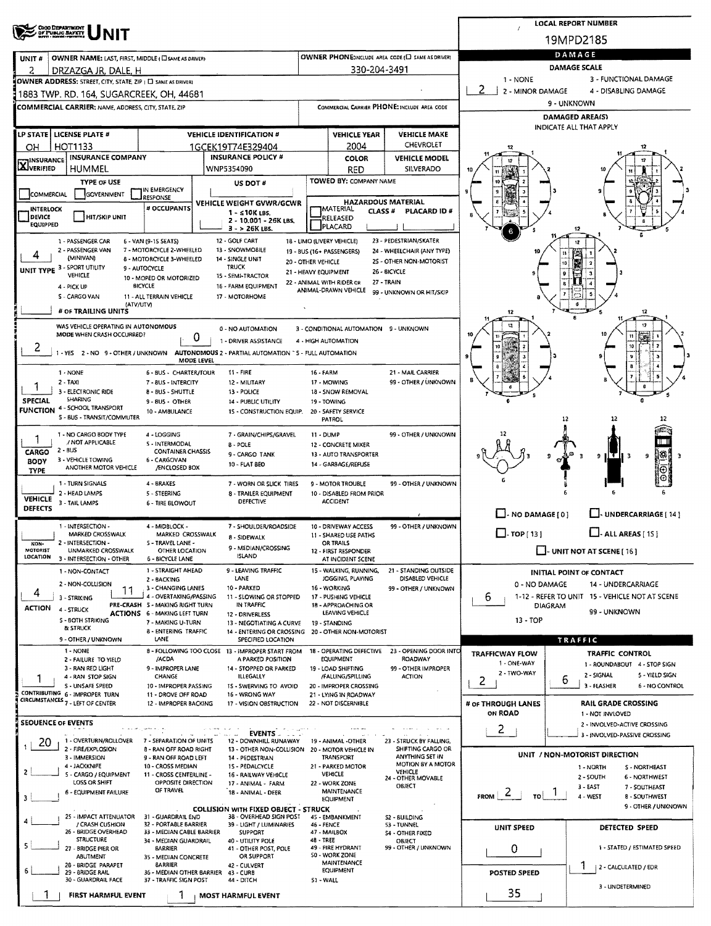|                                                                                                                     | <b>LOCAL REPORT NUMBER</b>                                             |                                                    |                                                            |                                             |                                                                    |  |  |  |  |  |
|---------------------------------------------------------------------------------------------------------------------|------------------------------------------------------------------------|----------------------------------------------------|------------------------------------------------------------|---------------------------------------------|--------------------------------------------------------------------|--|--|--|--|--|
| OHIO DEPARTMENT<br>OF PUBLIC BAFETT                                                                                 |                                                                        |                                                    |                                                            |                                             | 19MPD2185                                                          |  |  |  |  |  |
|                                                                                                                     |                                                                        |                                                    | OWNER PHONE:INCLUDE AREA CODE (E) SAME AS DRIVER)          | DAMAGE                                      |                                                                    |  |  |  |  |  |
| OWNER NAME: LAST, FIRST, MIDDLE ( CI SAME AS DRIVER)<br>UNIT#<br>2<br>DRZAZGA JR, DALE, H                           |                                                                        | 330-204-3491                                       |                                                            | <b>DAMAGE SCALE</b>                         |                                                                    |  |  |  |  |  |
| OWNER ADDRESS: STREET, CITY, STATE, ZIP ( [ ] SAME AS DRIVER!                                                       |                                                                        |                                                    |                                                            | $1 - NONE$                                  | 3 - FUNCTIONAL DAMAGE                                              |  |  |  |  |  |
| 1883 TWP. RD. 164, SUGARCREEK, OH, 44681                                                                            |                                                                        |                                                    |                                                            | 2<br>2 - MINOR DAMAGE                       | 4 - DISABLING DAMAGE                                               |  |  |  |  |  |
| <b>COMMERCIAL CARRIER; NAME, ADDRESS, CITY, STATE, ZIP</b>                                                          |                                                                        | COMMERCIAL CARRIER PHONE: INCLUDE AREA CODE        |                                                            |                                             | 9 - UNKNOWN                                                        |  |  |  |  |  |
|                                                                                                                     |                                                                        |                                                    |                                                            | DAMAGED AREA(S)<br>INDICATE ALL THAT APPLY  |                                                                    |  |  |  |  |  |
| <b>LP STATE LICENSE PLATE #</b>                                                                                     | <b>VEHICLE IDENTIFICATION #</b>                                        | <b>VEHICLE YEAR</b>                                | <b>VEHICLE MAKE</b>                                        |                                             |                                                                    |  |  |  |  |  |
| <b>HOT1133</b><br>OH                                                                                                | 1GCEK19T74E329404                                                      | 2004                                               | CHEVROLET                                                  | 12                                          |                                                                    |  |  |  |  |  |
| <b>INSURANCE COMPANY</b><br><b>X</b> INSURANCE                                                                      | <b>INSURANCE POLICY #</b>                                              | <b>COLOR</b>                                       | <b>VEHICLE MODEL</b>                                       | 12                                          |                                                                    |  |  |  |  |  |
| HUMMEL                                                                                                              | WNP5354090                                                             | <b>RED</b><br>TOWED BY: COMPANY NAME               | SILVERADO                                                  |                                             |                                                                    |  |  |  |  |  |
| <b>TYPE OF USE</b><br>IN EMERGENCY<br>COMMERCIAL<br><b>GOVERNMENT</b>                                               | US DOT #                                                               |                                                    |                                                            |                                             |                                                                    |  |  |  |  |  |
| <b>RESPONSE</b><br># OCCUPANTS                                                                                      | VEHICLE WEIGHT GVWR/GCWR                                               | <b>HAZARDOUS MATERIAL</b>                          |                                                            |                                             |                                                                    |  |  |  |  |  |
| <b>INTERLOCK</b><br>DEVICE<br>HIT/SKIP UNIT                                                                         | $1 - 510K$ LBS.<br>2 - 10.001 - 26K LBS.                               | <b>TMATERIAL</b><br>CLASS <sup>#</sup><br>RELEASED | PLACARD ID #                                               |                                             |                                                                    |  |  |  |  |  |
| <b>EQUIPPED</b>                                                                                                     | $3 - 26K$ LBS.                                                         | PLACARD                                            |                                                            |                                             | 12                                                                 |  |  |  |  |  |
| 1 - PASSENGER CAR<br>6 - VAN (9-15 SEATS)<br>2 - PASSENGER VAN<br>7 - MOTORCYCLE 2-WHEELED                          | 12 - GOLF CART<br>13 - SNOWMOBILE                                      | 18 - LIMO (LIVERY VEHICLE)                         | 23 - PEDESTRIAN/SKATER                                     |                                             | 12                                                                 |  |  |  |  |  |
| 4<br>(MINIVAN)<br><b>6 - MOTORCYCLE 3-WHEELED</b>                                                                   | 14 - SINGLE UNIT<br>20 - OTHER VEHICLE                                 | 19 - BUS (16+ PASSENGERS)                          | 24 - WHEELCHAIR (ANY TYPE)<br>25 - OTHER NON-MOTORIST      |                                             | Ŕ<br>10                                                            |  |  |  |  |  |
| UNIT TYPE 3 - SPORT UTILITY<br>9 - AUTOCYCLE<br>VEHICLE<br>10 - MOPED OR MOTORIZED                                  | <b>TRUCK</b><br>21 - HEAVY EQUIPMENT<br>15 - SEMI-TRACTOR              |                                                    | 26 - BICYCLE                                               |                                             | $\mathbf{9}$                                                       |  |  |  |  |  |
| BICYCLE<br>4 - PICK UP                                                                                              | 16 - FARM EQUIPMENT                                                    | 22 - ANIMAL WITH RIDER OR<br>ANIMAL-DRAWN VEHICLE  | 27 - TRAIN                                                 |                                             |                                                                    |  |  |  |  |  |
| S - CARGO VAN<br>11 - ALL TERRAIN VEHICLE<br>(ATV/UTV)                                                              | 17 - MOTORHOME                                                         |                                                    | 99 - UNKNOWN OR HIT/SKIP                                   |                                             |                                                                    |  |  |  |  |  |
| # OF TRAILING UNITS                                                                                                 |                                                                        |                                                    |                                                            | 12                                          | 12                                                                 |  |  |  |  |  |
| WAS VEHICLE OPERATING IN AUTONOMOUS                                                                                 | 0 - NO AUTOMATION                                                      | 3 - CONDITIONAL AUTOMATION 9 - UNKNOWN             |                                                            |                                             | 12                                                                 |  |  |  |  |  |
| MODE WHEN CRASH OCCURRED?<br>0                                                                                      | 1 - DRIVER ASSISTANCE                                                  | 4 - HIGH AUTOMATION                                |                                                            |                                             | ī.                                                                 |  |  |  |  |  |
| 1 - YES 2 - NO 9 - OTHER / UNKNOWN AUTONOMOUS 2 - PARTIAL AUTOMATION "S - FULL AUTOMATION                           |                                                                        |                                                    |                                                            |                                             | 10                                                                 |  |  |  |  |  |
| MODE LEVEL                                                                                                          | 11 - FIRE                                                              | <b>16 - FARM</b>                                   | 21 - MAIL CARRIER                                          |                                             |                                                                    |  |  |  |  |  |
| 1 - NONE<br>6 - BUS - CHARTER/TOUR<br>$2 - TAX$<br>7 - 8US - INTERCITY                                              | 12 - MILITARY                                                          | 17 - MOWING                                        | 99 - OTHER / UNKNOWN                                       |                                             |                                                                    |  |  |  |  |  |
| 3 - ELECTRONIC RIDE<br><b>8 - BUS - SHUTTLE</b><br>SHARING                                                          | 13 - POLICE                                                            | 18 - SNOW REMOVAL                                  |                                                            |                                             | e                                                                  |  |  |  |  |  |
| SPECIAL<br>9 - BUS - OTHER<br><b>FUNCTION 4 - SCHOOL TRANSPORT</b><br>10 - AM8ULANCE                                | <b>14 - PUBLIC UTILITY</b><br>15 - CONSTRUCTION EQUIP.                 | 19 TOWING<br>20 - SAFETY SERVICE                   |                                                            |                                             |                                                                    |  |  |  |  |  |
| S - BUS - TRANSIT/COMMUTER                                                                                          |                                                                        | PATROL                                             |                                                            |                                             | 12<br>12                                                           |  |  |  |  |  |
| 1 - NO CARGO BODY TYPE<br>4 - LOGGING                                                                               | 7 - GRAIN/CHIPS/GRAVEL                                                 | 11 - DUMP                                          | 99 - OTHER / UNKNOWN                                       |                                             |                                                                    |  |  |  |  |  |
| / NOT APPLICABLE<br>5 - INTERMODAL<br>2 - BUS<br><b>CARGO</b><br><b>CONTAINER CHASSIS</b>                           | <b>B-POLE</b>                                                          | 12 - CONCRETE MIXER                                |                                                            |                                             |                                                                    |  |  |  |  |  |
| 3 - VEHICLE TOWING<br>6 - CARGOVAN<br><b>BODY</b>                                                                   | 9 - CARGO TANK<br>10 - FLAT BEO                                        | 13 - AUTO TRANSPORTER<br>14 - GARBAGE/REFUSE       |                                                            |                                             | 18<br>9<br>нти з<br>9<br>з<br>в                                    |  |  |  |  |  |
| ANOTHER MOTOR VEHICLE<br><b>/ENCLOSED BOX</b><br><b>TYPE</b>                                                        |                                                                        |                                                    |                                                            |                                             |                                                                    |  |  |  |  |  |
| 1 - TURN SIGNALS<br>4 - BRAKES<br>2 - HEAD LAMPS<br>5 - STEERING                                                    | 7 - WORN OR SLICK TIRES<br>8 - TRAILER EQUIPMENT                       | 9 - MOTOR TROUBLE<br>10 - DISABLED FROM PRIOR      | 99 - OTHER / UNKNOWN                                       |                                             |                                                                    |  |  |  |  |  |
| <b>VEHICLE</b><br>3 - TAIL LAMPS<br><b>6 - TIRE BLOWOUT</b><br><b>DEFECTS</b>                                       | DEFECTIVE                                                              | <b>ACCIDENT</b>                                    |                                                            |                                             |                                                                    |  |  |  |  |  |
|                                                                                                                     |                                                                        |                                                    |                                                            | $\Box$ - NO DAMAGE [0]                      | UNDERCARRIAGE [ 14 ]                                               |  |  |  |  |  |
| 1 - INTERSECTION -<br>4 - MIDBLOCK -<br>MARKED CROSSWALK<br>MARKED CROSSWALK                                        | 7 - SHOULDER/ROADSIDE                                                  | 10 - DRIVEWAY ACCESS<br>11 - SHARED USE PATHS      | 99 - OTHER / UNKNOWN                                       | $\Box$ - TOP [ 13 ]                         | $\Box$ - ALL AREAS [ 15 ]                                          |  |  |  |  |  |
| 2 - INTERSECTION -<br>5 - TRAVEL LANE -<br>NON-                                                                     | 8 - SIDEWALK<br>9 - MEDIAN/CROSSING                                    | OR TRAILS                                          |                                                            |                                             |                                                                    |  |  |  |  |  |
| MOTORIST<br>UNMARKED CROSSWALK<br>OTHER LOCATION<br>LOCATION<br>3 - INTERSECTION - OTHER<br><b>6 - BICYCLE LANE</b> | <b>ISLAND</b>                                                          | 12 - FIRST RESPONDER<br>AT INCIDENT SCENE          |                                                            |                                             | $\Box$ - UNIT NOT AT SCENE [ 16 ]                                  |  |  |  |  |  |
| 1 - STRAIGHT AHEAD<br>1 - NON-CONTACT                                                                               | 9 - LEAVING TRAFFIC                                                    | 15 - WALKING, RUNNING,                             | 21 - STANDING OUTSIDE                                      |                                             | <b>INITIAL POINT OF CONTACT</b>                                    |  |  |  |  |  |
| 2 - BACKING<br>2 - NON-COLLISION<br>3 - CHANGING LANES                                                              | LANE<br>10 - PARKED                                                    | JOGGING, PLAYING<br>16 - WORKING                   | DISABLED VEHICLE<br>99 - OTHER / UNKNOWN                   | 0 - NO DAMAGE                               | 14 - UNDERCARRIAGE                                                 |  |  |  |  |  |
| 11<br>4<br>4 - OVERTAKING/PASSING<br>3 - STRIKING                                                                   | 11 - SLOWING OR STOPPED                                                | 17 - PUSHING VEHICLE                               |                                                            | 6.                                          | 1-12 - REFER TO UNIT 15 - VEHICLE NOT AT SCENE                     |  |  |  |  |  |
| PRE-CRASH 5 - MAKING RIGHT TURN<br><b>ACTION</b><br>4 - STRUCK<br>ACTIONS 6 - MAKING LEFT TURN                      | IN TRAFFIC<br>12 - DRIVERLESS                                          | 18 - APPROACHING OR<br>LEAVING VEHICLE             |                                                            | <b>DIAGRAM</b>                              | 99 - UNKNOWN                                                       |  |  |  |  |  |
| <b>S - BOTH STRIKING</b><br>7 - MAKING U-TURN<br>& STRUCK                                                           | 13 - NEGOTIATING A CURVE                                               | 19 - STANDING                                      |                                                            | $13 - TOP$                                  |                                                                    |  |  |  |  |  |
| 8 - ENTERING TRAFFIC<br>9 - OTHER / UNKNOWN<br>LANE                                                                 | 14 - ENTERING OR CROSSING<br>SPECIFIED LOCATION                        | 20 - OTHER NON-MOTORIST                            |                                                            |                                             | TRAFFIC                                                            |  |  |  |  |  |
| 1 - NONE                                                                                                            | 8 - FOLLOWING TOO CLOSE 13 - IMPROPER START FROM                       | <b>EQUIPMENT</b>                                   | 18 - OPERATING DEFECTIVE 23 - OPENING DOOR INTO<br>ROADWAY | <b>TRAFFICWAY FLOW</b>                      | <b>TRAFFIC CONTROL</b>                                             |  |  |  |  |  |
| /ACDA<br>2 - FAILURE TO YIELD<br>9 - IMPROPER LANE<br>3 - RAN RED LIGHT                                             | A PARKED POSITION<br>14 - STOPPED OR PARKED                            | 19 - LOAD SHIFTING                                 | 99 - OTHER IMPROPER                                        | 1 - ONE-WAY                                 | 1 - ROUNDABOUT 4 - STOP SIGN                                       |  |  |  |  |  |
| CHANGE<br>4 - RAN STOP SIGN                                                                                         | ILLEGALLY                                                              | /FALLING/SPILLING                                  | <b>ACTION</b>                                              | 2 - TWO-WAY<br>2                            | 2 - SIGNAL<br>5 - YIELD SIGN<br>6<br>3 - FLASHER<br>6 - NO CONTROL |  |  |  |  |  |
| S - UNSAFE SPEED<br>10 - IMPROPER PASSING<br>CONTRIBUTING 6 - IMPROPER TURN<br>11 - DROVE OFF ROAD                  | 15 - SWERVING TO AVOID<br>16 - WRONG WAY                               | 20 - IMPROPER CROSSING<br>21 - LYING IN ROADWAY    |                                                            |                                             |                                                                    |  |  |  |  |  |
| CIRCUMSTANCES <sub>7</sub> - LEFT OF CENTER<br>12 - IMPROPER BACKING                                                | 17 - VISION OBSTRUCTION                                                | 22 - NOT DISCERNIBLE                               |                                                            | # OF THROUGH LANES<br>ON ROAD               | <b>RAIL GRADE CROSSING</b><br>1 - NOT INVLOVED                     |  |  |  |  |  |
| <b>SEOUENCE OF EVENTS</b>                                                                                           |                                                                        |                                                    |                                                            |                                             | 2 - INVOLVED-ACTIVE CROSSING                                       |  |  |  |  |  |
| 1 - OVERTURN/ROLLOVER                                                                                               | <b>EVENTS</b>                                                          |                                                    |                                                            | 2                                           | 3 - INVOLVED-PASSIVE CROSSING                                      |  |  |  |  |  |
| 7 - SEPARATION OF UNITS<br>20<br>2 - FIRE/EXPLOSION<br>8 - RAN OFF ROAD RIGHT                                       | 12 - DOWNHILL RUNAWAY<br>13 - OTHER NON-COLLISION                      | 19 - ANIMAL -OTHER<br>20 - MOTOR VEHICLE IN        | 23 - STRUCK BY FALLING,<br>SHIFTING CARGO OR               |                                             |                                                                    |  |  |  |  |  |
| 3 - IMMERSION<br>9 - RAN OFF ROAD LEFT<br>4 - JACKKNIFE<br>10 - CROSS MEDIAN                                        | 14 - PEDESTRIAN<br>15 - PEDALCYCLE                                     | <b>TRANSPORT</b><br>21 - PARKED MOTOR              | ANYTHING SET IN<br>MOTION BY A MOTOR                       |                                             | UNIT / NON-MOTORIST DIRECTION<br>1 - NORTH<br>S - NORTHEAST        |  |  |  |  |  |
| 2<br>5 - CARGO / EQUIPMENT<br>11 - CROSS CENTERLINE -                                                               | 16 - RAILWAY VEHICLE                                                   | VEHICLE                                            | <b>VEHICLE</b><br>24 - OTHER MOVABLE                       |                                             | 2 - SOUTH<br>6 - NORTHWEST                                         |  |  |  |  |  |
| LOSS OR SHIFT<br>OPPOSITE DIRECTION<br>OF TRAVEL<br><b>6 - EQUIPMENT FAILURE</b>                                    | 17 - ANIMAL - FARM<br>18 - ANIMAL - DEER                               | 22 - WORK ZONE<br>MAINTENANCE                      | OBJECT                                                     | $F_{ROM}$ 2                                 | 3 - EAST<br>7 - SOUTHEAST                                          |  |  |  |  |  |
|                                                                                                                     |                                                                        | EQUIPMENT                                          |                                                            | τoΙ                                         | 4 - WEST<br><b>8 - SOUTHWEST</b><br>9 - OTHER / UNKNOWN            |  |  |  |  |  |
| 31 - GUARDRAIL END<br>25 - IMPACT ATTENUATOR                                                                        | <b>COLLISION WITH FIXED OBJECT - STRUCK</b><br>38 - OVERHEAD SIGN POST | 45 - EMBANKMENT                                    | <b>S2 - BUILDING</b>                                       |                                             |                                                                    |  |  |  |  |  |
| / CRASH CUSHION<br>32 - PORTABLE BARRIER<br>26 - BRIDGE OVERHEAD<br>33 - MEDIAN CABLE BARRIER                       | 39 - LIGHT / LUMINARIES<br><b>SUPPORT</b>                              | 46 - FENCE<br>47 - MAILBOX                         | 53 - TUNNEL<br><b>S4 - OTHER FIXED</b>                     | <b>UNIT SPEED</b>                           | DETECTED SPEED                                                     |  |  |  |  |  |
| <b>STRUCTURE</b><br>34 - MEDIAN GUARDRAIL<br>5<br><b>BARRIER</b><br>27 - BRIDGE PIER OR                             | 40 - UTILITY POLE<br>41 - OTHER POST, POLE                             | 48 - TREE<br>49 - FIRE HYDRANT                     | OBJECT<br>99 - OTHER / UNKNOWN                             |                                             | 1 - STATED / ESTIMATED SPEED                                       |  |  |  |  |  |
| ABUTMENT<br>35 - MEDIAN CONCRETE                                                                                    | OR SUPPORT                                                             | 50 - WORK ZONE                                     |                                                            | 0                                           |                                                                    |  |  |  |  |  |
| <b>BARRIER</b><br>28 - BRIDGE PARAPET<br>36 - MEDIAN OTHER BARRIER<br>29 - 8RIDGE RAIL                              | 42 - CULVERT<br>43 - CURB                                              | <b>MAINTENANCE</b><br>EQUIPMENT                    |                                                            | 1<br>  2 - CALCULATED / EDR<br>POSTED SPEED |                                                                    |  |  |  |  |  |
| 30 - GUARDRAIL FACE<br>37 - TRAFFIC SIGN POST                                                                       | 44 - DITCH                                                             | 51 - WALL                                          |                                                            | 3 - UNDETERMINED                            |                                                                    |  |  |  |  |  |
| FIRST HARMFUL EVENT                                                                                                 | MOST HARMFUL EVENT                                                     |                                                    |                                                            | 35                                          |                                                                    |  |  |  |  |  |
|                                                                                                                     |                                                                        |                                                    |                                                            |                                             |                                                                    |  |  |  |  |  |